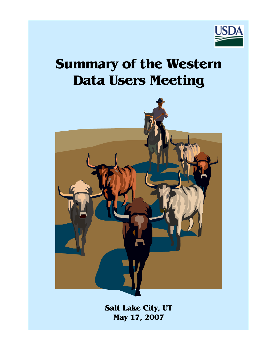

# **Summary of the Western Data Users Meeting**



**Salt Lake City, UT May 17, 2007**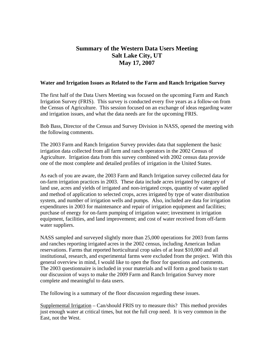## **Summary of the Western Data Users Meeting Salt Lake City, UT May 17, 2007**

#### **Water and Irrigation Issues as Related to the Farm and Ranch Irrigation Survey**

The first half of the Data Users Meeting was focused on the upcoming Farm and Ranch Irrigation Survey (FRIS). This survey is conducted every five years as a follow-on from the Census of Agriculture. This session focused on an exchange of ideas regarding water and irrigation issues, and what the data needs are for the upcoming FRIS.

Bob Bass, Director of the Census and Survey Division in NASS, opened the meeting with the following comments.

The 2003 Farm and Ranch Irrigation Survey provides data that supplement the basic irrigation data collected from all farm and ranch operators in the 2002 Census of Agriculture. Irrigation data from this survey combined with 2002 census data provide one of the most complete and detailed profiles of irrigation in the United States.

As each of you are aware, the 2003 Farm and Ranch Irrigation survey collected data for on-farm irrigation practices in 2003. These data include acres irrigated by category of land use, acres and yields of irrigated and non-irrigated crops, quantity of water applied and method of application to selected crops, acres irrigated by type of water distribution system, and number of irrigation wells and pumps. Also, included are data for irrigation expenditures in 2003 for maintenance and repair of irrigation equipment and facilities; purchase of energy for on-farm pumping of irrigation water; investment in irrigation equipment, facilities, and land improvement; and cost of water received from off-farm water suppliers.

NASS sampled and surveyed slightly more than 25,000 operations for 2003 from farms and ranches reporting irrigated acres in the 2002 census, including American Indian reservations. Farms that reported horticultural crop sales of at least \$10,000 and all institutional, research, and experimental farms were excluded from the project. With this general overview in mind, I would like to open the floor for questions and comments. The 2003 questionnaire is included in your materials and will form a good basis to start our discussion of ways to make the 2009 Farm and Ranch Irrigation Survey more complete and meaningful to data users.

The following is a summary of the floor discussion regarding these issues.

Supplemental Irrigation – Can/should FRIS try to measure this? This method provides just enough water at critical times, but not the full crop need. It is very common in the East, not the West.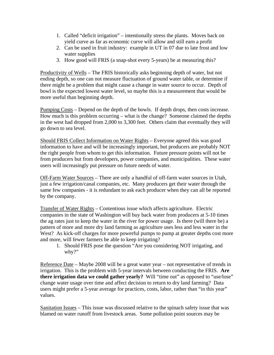- 1. Called "deficit irrigation" intentionally stress the plants. Moves back on yield curve as far as economic curve will allow and still earn a profit
- 2. Can be used in fruit industry: example in UT in 07 due to late frost and low water supplies
- 3. How good will FRIS (a snap-shot every 5-years) be at measuring this?

Productivity of Wells – The FRIS historically asks beginning depth of water, but not ending depth, so one can not measure fluctuation of ground water table, or determine if there might be a problem that might cause a change in water source to occur. Depth of bowl is the expected lowest water level, so maybe this is a measurement that would be more useful than beginning depth.

Pumping Costs – Depend on the depth of the bowls. If depth drops, then costs increase. How much is this problem occurring – what is the change? Someone claimed the depths in the west had dropped from 2,000 to 3,300 feet. Others claim that eventually they will go down to sea level.

Should FRIS Collect Information on Water Rights – Everyone agreed this was good information to have and will be increasingly important, but producers are probably NOT the right people from whom to get this information. Future pressure points will not be from producers but from developers, power companies, and municipalities. These water users will increasingly put pressure on future needs of water.

Off-Farm Water Sources – There are only a handful of off-farm water sources in Utah, just a few irrigation/canal companies, etc. Many producers get their water through the same few companies - it is redundant to ask each producer when they can all be reported by the company.

Transfer of Water Rights – Contentious issue which affects agriculture. Electric companies in the state of Washington will buy back water from producers at 5-10 times the ag rates just to keep the water in the river for power usage. Is there (will there be) a pattern of more and more dry land farming as agriculture uses less and less water in the West? As kick-off charges for more powerful pumps to pump at greater depths cost more and more, will fewer farmers be able to keep irrigating?

1. Should FRIS pose the question "Are you considering NOT irrigating, and why?"

Reference Date – Maybe 2008 will be a great water year – not representative of trends in irrigation. This is the problem with 5-year intervals between conducting the FRIS. **Are there irrigation data we could gather yearly?** Will "time out" as opposed to "use/lose" change water usage over time and affect decision to return to dry land farming? Data users might prefer a 5-year average for practices, costs, labor, rather than "in this year" values.

Sanitation Issues – This issue was discussed relative to the spinach safety issue that was blamed on water runoff from livestock areas. Some pollution point sources may be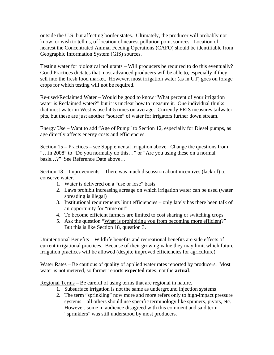outside the U.S. but affecting border states. Ultimately, the producer will probably not know, or wish to tell us, of location of nearest pollution point sources. Location of nearest the Concentrated Animal Feeding Operations (CAFO) should be identifiable from Geographic Information System (GIS) sources.

Testing water for biological pollutants – Will producers be required to do this eventually? Good Practices dictates that most advanced producers will be able to, especially if they sell into the fresh food market. However, most irrigation water (as in UT) goes on forage crops for which testing will not be required.

Re-used/Reclaimed Water – Would be good to know "What percent of your irrigation water is Reclaimed water?" but it is unclear how to measure it. One individual thinks that most water in West is used 4-5 times on average. Currently FRIS measures tailwater pits, but these are just another "source" of water for irrigators further down stream.

Energy Use – Want to add "Age of Pump" to Section 12, especially for Diesel pumps, as age directly affects energy costs and efficiencies.

Section 15 – Practices – see Supplemental irrigation above. Change the questions from "...in 2008" to "Do you normally do this..." or "Are you using these on a normal" basis…?" See Reference Date above…

Section 18 – Improvements – There was much discussion about incentives (lack of) to conserve water.

- 1. Water is delivered on a "use or lose" basis
- 2. Laws prohibit increasing acreage on which irrigation water can be used (water spreading is illegal)
- 3. Institutional requirements limit efficiencies only lately has there been talk of an opportunity for "time out"
- 4. To become efficient farmers are limited to cost sharing or switching crops
- 5. Ask the question "What is prohibiting you from becoming more efficient?" But this is like Section 18, question 3.

Unintentional Benefits – Wildlife benefits and recreational benefits are side effects of current irrigational practices. Because of their growing value they may limit which future irrigation practices will be allowed (despite improved efficiencies for agriculture).

Water Rates – Be cautious of quality of applied water rates reported by producers. Most water is not metered, so farmer reports **expected** rates, not the **actual**.

Regional Terms – Be careful of using terms that are regional in nature.

- 1. Subsurface irrigation is not the same as underground injection systems
- 2. The term "sprinkling" now more and more refers only to high-impact pressure systems – all others should use specific terminology like spinners, pivots, etc. However, some in audience disagreed with this comment and said term "sprinklers" was still understood by most producers.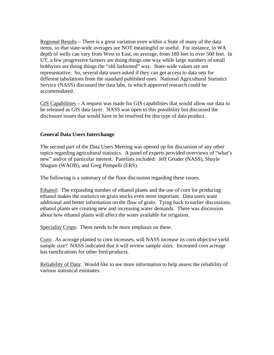Regional Results – There is a great variation even within a State of many of the data items, so that state-wide averages are NOT meaningful or useful. For instance, in WA depth of wells can vary from West to East, on average, from 180 feet to over 500 feet. In UT, a few progressive farmers are doing things one way while large numbers of small hobbyists are doing things the "old fashioned" way. State-wide values are not representative. So, several data users asked if they can get access to data sets for different tabulations from the standard published ones. National Agricultural Statistics Service (NASS) discussed the data labs, in which approved research could be accommodated.

GIS Capabilities – A request was made for GIS capabilities that would allow our data to be released as GIS data layer. NASS was open to this possibility but discussed the disclosure issues that would have to be resolved for this type of data product.

#### **General Data Users Interchange**

The second part of the Data Users Meeting was opened up for discussion of any other topics regarding agricultural statistics. A panel of experts provided overviews of "what's new" and/or of particular interest. Panelists included: Jeff Geuder (NASS), Shayle Shagam (WAOB), and Greg Pompelli (ERS).

The following is a summary of the floor discussion regarding these issues.

Ethanol: The expanding number of ethanol plants and the use of corn for producing ethanol makes the statistics on grain stocks even more important. Data users want additional and better information on the flow of grain. Tying back to earlier discussions, ethanol plants are creating new and increasing water demands. There was discussion about how ethanol plants will affect the water available for irrigation.

Speciality Crops: There needs to be more emphasis on these.

Corn: As acreage planted to corn increases, will NASS increase its corn objective yield sample size? NASS indicated that it will review sample sizes. Increased corn acreage has ramifications for other feed products.

Reliability of Data: Would like to see more information to help assess the reliability of various statistical estimates.